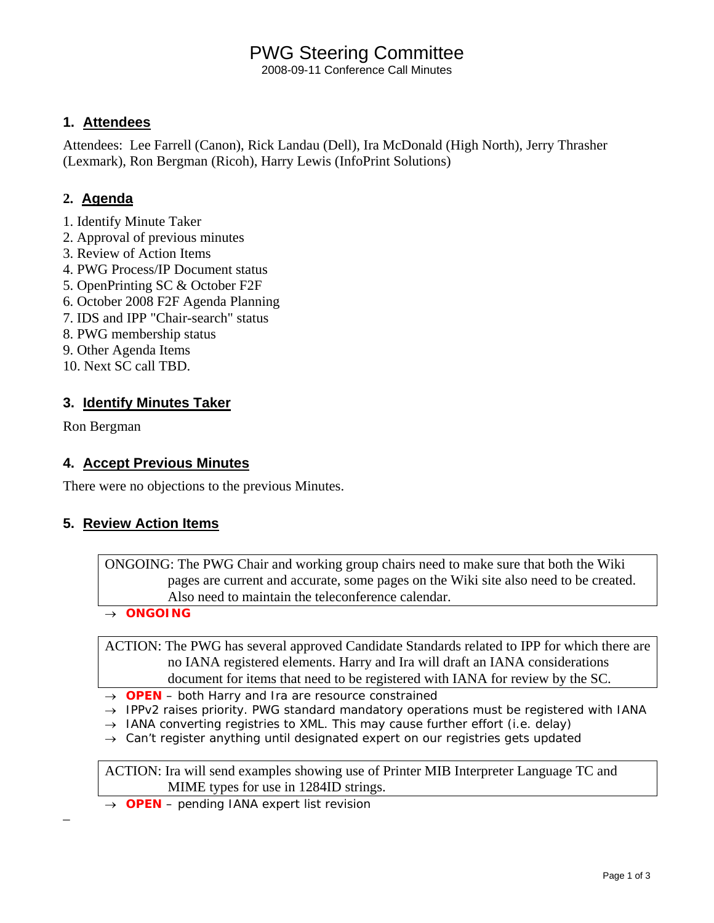## PWG Steering Committee

2008-09-11 Conference Call Minutes

#### **1. Attendees**

Attendees: Lee Farrell (Canon), Rick Landau (Dell), Ira McDonald (High North), Jerry Thrasher (Lexmark), Ron Bergman (Ricoh), Harry Lewis (InfoPrint Solutions)

#### **2. Agenda**

- 1. Identify Minute Taker
- 2. Approval of previous minutes
- 3. Review of Action Items
- 4. PWG Process/IP Document status
- 5. OpenPrinting SC & October F2F
- 6. October 2008 F2F Agenda Planning
- 7. IDS and IPP "Chair-search" status
- 8. PWG membership status
- 9. Other Agenda Items
- 10. Next SC call TBD.

#### **3. Identify Minutes Taker**

Ron Bergman

–

#### **4. Accept Previous Minutes**

There were no objections to the previous Minutes.

#### **5. Review Action Items**

ONGOING: The PWG Chair and working group chairs need to make sure that both the Wiki pages are current and accurate, some pages on the Wiki site also need to be created. Also need to maintain the teleconference calendar.

→ *ONGOING* 

ACTION: The PWG has several approved Candidate Standards related to IPP for which there are no IANA registered elements. Harry and Ira will draft an IANA considerations document for items that need to be registered with IANA for review by the SC.

- → *OPEN both Harry and Ira are resource constrained*
- → *IPPv2 raises priority. PWG standard mandatory operations must be registered with IANA*
- → *IANA converting registries to XML. This may cause further effort (i.e. delay)*
- → *Can't register anything until designated expert on our registries gets updated*

ACTION: Ira will send examples showing use of Printer MIB Interpreter Language TC and MIME types for use in 1284ID strings.

→ *OPEN – pending IANA expert list revision*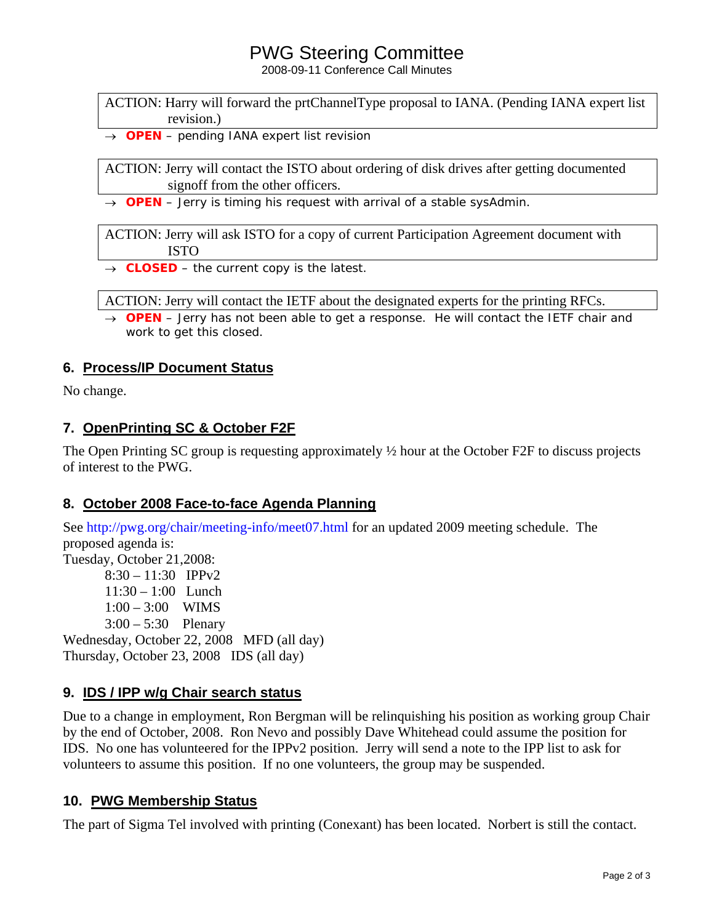### PWG Steering Committee

2008-09-11 Conference Call Minutes

ACTION: Harry will forward the prtChannelType proposal to IANA. (Pending IANA expert list revision.)

→ *OPEN – pending IANA expert list revision*

ACTION: Jerry will contact the ISTO about ordering of disk drives after getting documented signoff from the other officers.

→ *OPEN – Jerry is timing his request with arrival of a stable sysAdmin.* 

ACTION: Jerry will ask ISTO for a copy of current Participation Agreement document with ISTO

→ *CLOSED – the current copy is the latest.*

ACTION: Jerry will contact the IETF about the designated experts for the printing RFCs.

→ *OPEN – Jerry has not been able to get a response. He will contact the IETF chair and work to get this closed.*

#### **6. Process/IP Document Status**

No change.

#### **7. OpenPrinting SC & October F2F**

The Open Printing SC group is requesting approximately  $\frac{1}{2}$  hour at the October F2F to discuss projects of interest to the PWG.

#### **8. October 2008 Face-to-face Agenda Planning**

See http://pwg.org/chair/meeting-info/meet07.html for an updated 2009 meeting schedule. The proposed agenda is: Tuesday, October 21,2008: 8:30 – 11:30 IPPv2 11:30 – 1:00 Lunch 1:00 – 3:00 WIMS  $3:00 - 5:30$  Plenary Wednesday, October 22, 2008 MFD (all day) Thursday, October 23, 2008 IDS (all day)

#### **9. IDS / IPP w/g Chair search status**

Due to a change in employment, Ron Bergman will be relinquishing his position as working group Chair by the end of October, 2008. Ron Nevo and possibly Dave Whitehead could assume the position for IDS. No one has volunteered for the IPPv2 position. Jerry will send a note to the IPP list to ask for volunteers to assume this position. If no one volunteers, the group may be suspended.

#### **10. PWG Membership Status**

The part of Sigma Tel involved with printing (Conexant) has been located. Norbert is still the contact.